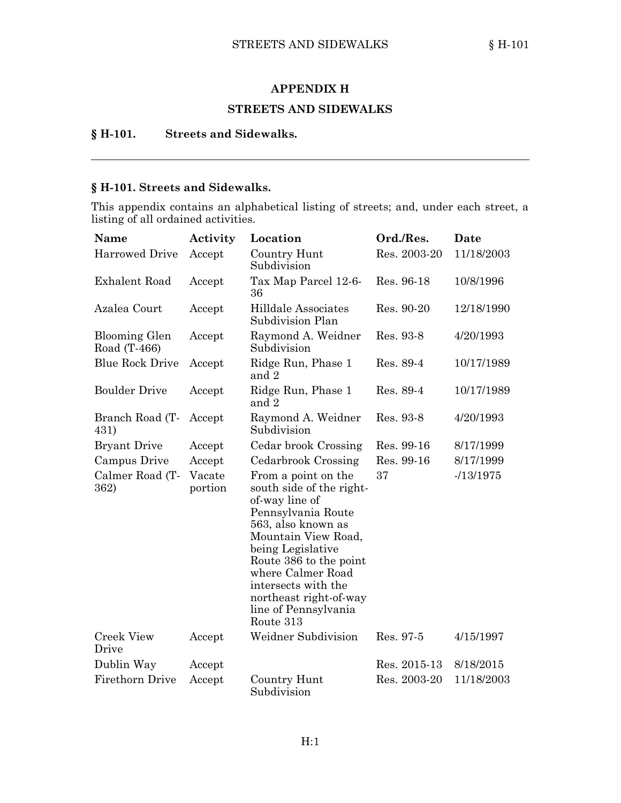#### **APPENDIX H**

### **STREETS AND SIDEWALKS**

## **§ H-101. Streets and Sidewalks.**

## **§ H-101. Streets and Sidewalks.**

This appendix contains an alphabetical listing of streets; and, under each street, <sup>a</sup> listing of all ordained activities.

| Name                                 | Activity          | Location                                                                                                                                                                                                                                                                                       | Ord./Res.    | Date       |
|--------------------------------------|-------------------|------------------------------------------------------------------------------------------------------------------------------------------------------------------------------------------------------------------------------------------------------------------------------------------------|--------------|------------|
| <b>Harrowed Drive</b>                | Accept            | Country Hunt<br>Subdivision                                                                                                                                                                                                                                                                    | Res. 2003-20 | 11/18/2003 |
| Exhalent Road                        | Accept            | Tax Map Parcel 12-6-<br>36                                                                                                                                                                                                                                                                     | Res. 96-18   | 10/8/1996  |
| Azalea Court                         | Accept            | Hilldale Associates<br>Subdivision Plan                                                                                                                                                                                                                                                        | Res. 90-20   | 12/18/1990 |
| <b>Blooming Glen</b><br>Road (T-466) | Accept            | Raymond A. Weidner<br>Subdivision                                                                                                                                                                                                                                                              | Res. 93-8    | 4/20/1993  |
| <b>Blue Rock Drive</b>               | Accept            | Ridge Run, Phase 1<br>and 2                                                                                                                                                                                                                                                                    | Res. 89-4    | 10/17/1989 |
| <b>Boulder Drive</b>                 | Accept            | Ridge Run, Phase 1<br>and 2                                                                                                                                                                                                                                                                    | Res. 89-4    | 10/17/1989 |
| Branch Road (T-<br>431)              | Accept            | Raymond A. Weidner<br>Subdivision                                                                                                                                                                                                                                                              | Res. 93-8    | 4/20/1993  |
| <b>Bryant Drive</b>                  | Accept            | Cedar brook Crossing                                                                                                                                                                                                                                                                           | Res. 99-16   | 8/17/1999  |
| Campus Drive                         | Accept            | Cedarbrook Crossing                                                                                                                                                                                                                                                                            | Res. 99-16   | 8/17/1999  |
| Calmer Road (T-<br>362)              | Vacate<br>portion | From a point on the<br>south side of the right-<br>of-way line of<br>Pennsylvania Route<br>563, also known as<br>Mountain View Road,<br>being Legislative<br>Route 386 to the point<br>where Calmer Road<br>intersects with the<br>northeast right-of-way<br>line of Pennsylvania<br>Route 313 | 37           | $-13/1975$ |
| <b>Creek View</b><br>Drive           | Accept            | Weidner Subdivision                                                                                                                                                                                                                                                                            | Res. 97-5    | 4/15/1997  |
| Dublin Way                           | Accept            |                                                                                                                                                                                                                                                                                                | Res. 2015-13 | 8/18/2015  |
| Firethorn Drive                      | Accept            | Country Hunt<br>Subdivision                                                                                                                                                                                                                                                                    | Res. 2003-20 | 11/18/2003 |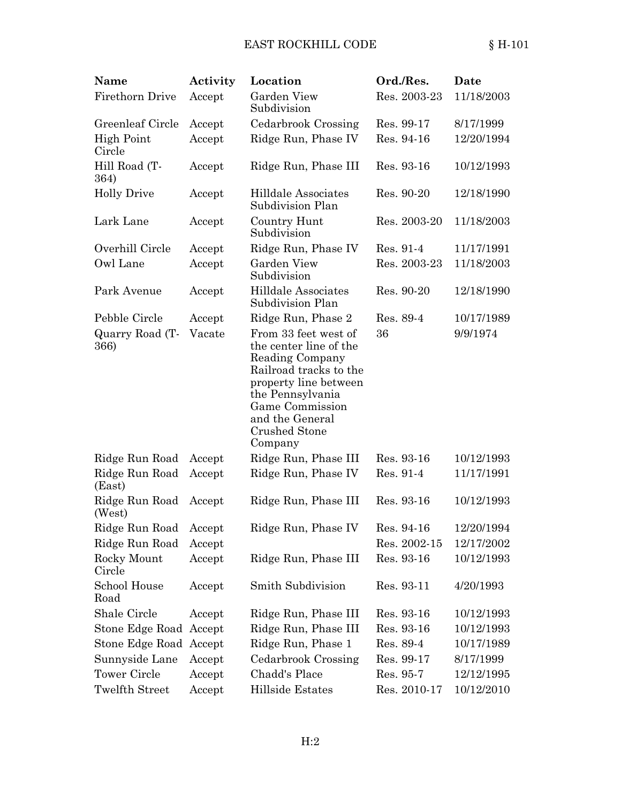## EAST ROCKHILL CODE  $§ H-101$

| Name                        | Activity | Location                                                                                                                                                                                                   | Ord./Res.    | Date       |
|-----------------------------|----------|------------------------------------------------------------------------------------------------------------------------------------------------------------------------------------------------------------|--------------|------------|
| Firethorn Drive             | Accept   | Garden View<br>Subdivision                                                                                                                                                                                 | Res. 2003-23 | 11/18/2003 |
| Greenleaf Circle            | Accept   | Cedarbrook Crossing                                                                                                                                                                                        | Res. 99-17   | 8/17/1999  |
| <b>High Point</b><br>Circle | Accept   | Ridge Run, Phase IV                                                                                                                                                                                        | Res. 94-16   | 12/20/1994 |
| Hill Road (T-<br>364)       | Accept   | Ridge Run, Phase III                                                                                                                                                                                       | Res. 93-16   | 10/12/1993 |
| <b>Holly Drive</b>          | Accept   | Hilldale Associates<br>Subdivision Plan                                                                                                                                                                    | Res. 90-20   | 12/18/1990 |
| Lark Lane                   | Accept   | Country Hunt<br>Subdivision                                                                                                                                                                                | Res. 2003-20 | 11/18/2003 |
| Overhill Circle             | Accept   | Ridge Run, Phase IV                                                                                                                                                                                        | Res. 91-4    | 11/17/1991 |
| Owl Lane                    | Accept   | Garden View<br>Subdivision                                                                                                                                                                                 | Res. 2003-23 | 11/18/2003 |
| Park Avenue                 | Accept   | Hilldale Associates<br>Subdivision Plan                                                                                                                                                                    | Res. 90-20   | 12/18/1990 |
| Pebble Circle               | Accept   | Ridge Run, Phase 2                                                                                                                                                                                         | Res. 89-4    | 10/17/1989 |
| Quarry Road (T-<br>366)     | Vacate   | From 33 feet west of<br>the center line of the<br>Reading Company<br>Railroad tracks to the<br>property line between<br>the Pennsylvania<br>Game Commission<br>and the General<br>Crushed Stone<br>Company | 36           | 9/9/1974   |
| Ridge Run Road              | Accept   | Ridge Run, Phase III                                                                                                                                                                                       | Res. 93-16   | 10/12/1993 |
| Ridge Run Road<br>(East)    | Accept   | Ridge Run, Phase IV                                                                                                                                                                                        | Res. 91-4    | 11/17/1991 |
| Ridge Run Road<br>(West)    | Accept   | Ridge Run, Phase III                                                                                                                                                                                       | Res. 93-16   | 10/12/1993 |
| Ridge Run Road Accept       |          | Ridge Run, Phase IV                                                                                                                                                                                        | Res. 94-16   | 12/20/1994 |
| Ridge Run Road              | Accept   |                                                                                                                                                                                                            | Res. 2002-15 | 12/17/2002 |
| Rocky Mount<br>Circle       | Accept   | Ridge Run, Phase III                                                                                                                                                                                       | Res. 93-16   | 10/12/1993 |
| School House<br>Road        | Accept   | Smith Subdivision                                                                                                                                                                                          | Res. 93-11   | 4/20/1993  |
| Shale Circle                | Accept   | Ridge Run, Phase III                                                                                                                                                                                       | Res. 93-16   | 10/12/1993 |
| Stone Edge Road Accept      |          | Ridge Run, Phase III                                                                                                                                                                                       | Res. 93-16   | 10/12/1993 |
| Stone Edge Road Accept      |          | Ridge Run, Phase 1                                                                                                                                                                                         | Res. 89-4    | 10/17/1989 |
| Sunnyside Lane              | Accept   | Cedarbrook Crossing                                                                                                                                                                                        | Res. 99-17   | 8/17/1999  |
| <b>Tower Circle</b>         | Accept   | Chadd's Place                                                                                                                                                                                              | Res. 95-7    | 12/12/1995 |
| Twelfth Street              | Accept   | Hillside Estates                                                                                                                                                                                           | Res. 2010-17 | 10/12/2010 |